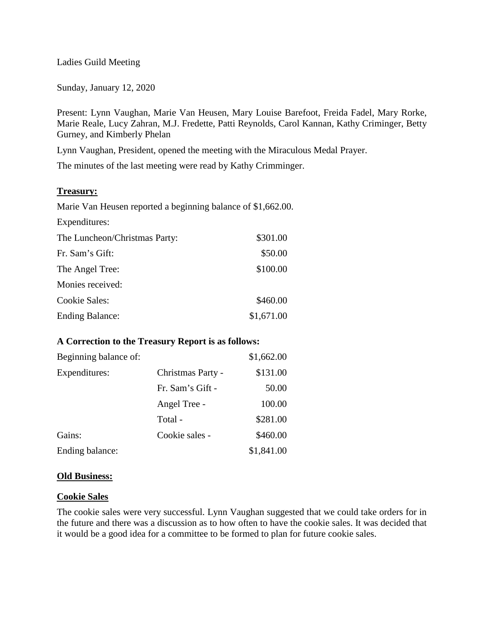#### Ladies Guild Meeting

Sunday, January 12, 2020

Present: Lynn Vaughan, Marie Van Heusen, Mary Louise Barefoot, Freida Fadel, Mary Rorke, Marie Reale, Lucy Zahran, M.J. Fredette, Patti Reynolds, Carol Kannan, Kathy Criminger, Betty Gurney, and Kimberly Phelan

Lynn Vaughan, President, opened the meeting with the Miraculous Medal Prayer.

The minutes of the last meeting were read by Kathy Crimminger.

### **Treasury:**

Marie Van Heusen reported a beginning balance of \$1,662.00.

Expenditures:

| The Luncheon/Christmas Party: | \$301.00   |
|-------------------------------|------------|
| Fr. Sam's Gift:               | \$50.00    |
| The Angel Tree:               | \$100.00   |
| Monies received:              |            |
| <b>Cookie Sales:</b>          | \$460.00   |
| <b>Ending Balance:</b>        | \$1,671.00 |

# **A Correction to the Treasury Report is as follows:**

| Beginning balance of: |                   | \$1,662.00 |
|-----------------------|-------------------|------------|
| Expenditures:         | Christmas Party - | \$131.00   |
|                       | Fr. Sam's Gift -  | 50.00      |
|                       | Angel Tree -      | 100.00     |
|                       | Total -           | \$281.00   |
| Gains:                | Cookie sales -    | \$460.00   |
| Ending balance:       |                   | \$1,841.00 |

#### **Old Business:**

#### **Cookie Sales**

The cookie sales were very successful. Lynn Vaughan suggested that we could take orders for in the future and there was a discussion as to how often to have the cookie sales. It was decided that it would be a good idea for a committee to be formed to plan for future cookie sales.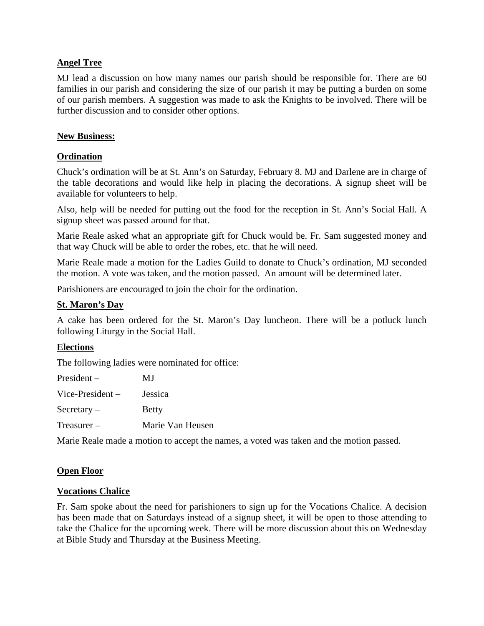# **Angel Tree**

MJ lead a discussion on how many names our parish should be responsible for. There are 60 families in our parish and considering the size of our parish it may be putting a burden on some of our parish members. A suggestion was made to ask the Knights to be involved. There will be further discussion and to consider other options.

### **New Business:**

# **Ordination**

Chuck's ordination will be at St. Ann's on Saturday, February 8. MJ and Darlene are in charge of the table decorations and would like help in placing the decorations. A signup sheet will be available for volunteers to help.

Also, help will be needed for putting out the food for the reception in St. Ann's Social Hall. A signup sheet was passed around for that.

Marie Reale asked what an appropriate gift for Chuck would be. Fr. Sam suggested money and that way Chuck will be able to order the robes, etc. that he will need.

Marie Reale made a motion for the Ladies Guild to donate to Chuck's ordination, MJ seconded the motion. A vote was taken, and the motion passed. An amount will be determined later.

Parishioners are encouraged to join the choir for the ordination.

# **St. Maron's Day**

A cake has been ordered for the St. Maron's Day luncheon. There will be a potluck lunch following Liturgy in the Social Hall.

# **Elections**

The following ladies were nominated for office:

| $President -$      | MJ               |
|--------------------|------------------|
| Vice-President $-$ | Jessica          |
| $S$ ecretary –     | <b>Betty</b>     |
| $T$ reasurer $-$   | Marie Van Heusen |

Marie Reale made a motion to accept the names, a voted was taken and the motion passed.

# **Open Floor**

#### **Vocations Chalice**

Fr. Sam spoke about the need for parishioners to sign up for the Vocations Chalice. A decision has been made that on Saturdays instead of a signup sheet, it will be open to those attending to take the Chalice for the upcoming week. There will be more discussion about this on Wednesday at Bible Study and Thursday at the Business Meeting.